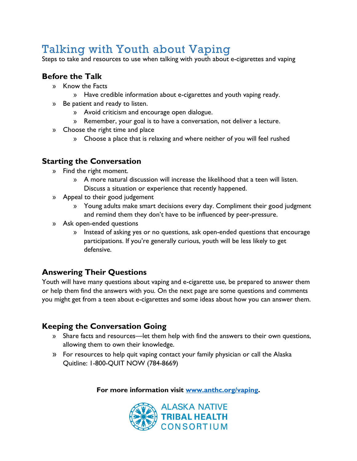# Talking with Youth about Vaping

Steps to take and resources to use when talking with youth about e-cigarettes and vaping

## **Before the Talk**

- » Know the Facts
	- » Have credible information about e-cigarettes and youth vaping ready.
- » Be patient and ready to listen.
	- » Avoid criticism and encourage open dialogue.
	- » Remember, your goal is to have a conversation, not deliver a lecture.
- » Choose the right time and place
	- » Choose a place that is relaxing and where neither of you will feel rushed

## **Starting the Conversation**

- » Find the right moment.
	- » A more natural discussion will increase the likelihood that a teen will listen. Discuss a situation or experience that recently happened.
- » Appeal to their good judgement
	- » Young adults make smart decisions every day. Compliment their good judgment and remind them they don't have to be influenced by peer-pressure.
- » Ask open-ended questions
	- » Instead of asking yes or no questions, ask open-ended questions that encourage participations. If you're generally curious, youth will be less likely to get defensive.

## **Answering Their Questions**

Youth will have many questions about vaping and e-cigarette use, be prepared to answer them or help them find the answers with you. On the next page are some questions and comments you might get from a teen about e-cigarettes and some ideas about how you can answer them.

## **Keeping the Conversation Going**

- » Share facts and resources—let them help with find the answers to their own questions, allowing them to own their knowledge.
- » For resources to help quit vaping contact your family physician or call the Alaska Quitline: 1-800-QUIT NOW (784-8669)

**For more information visit [www.anthc.org/vaping.](http://www.anthc.org/vaping)**